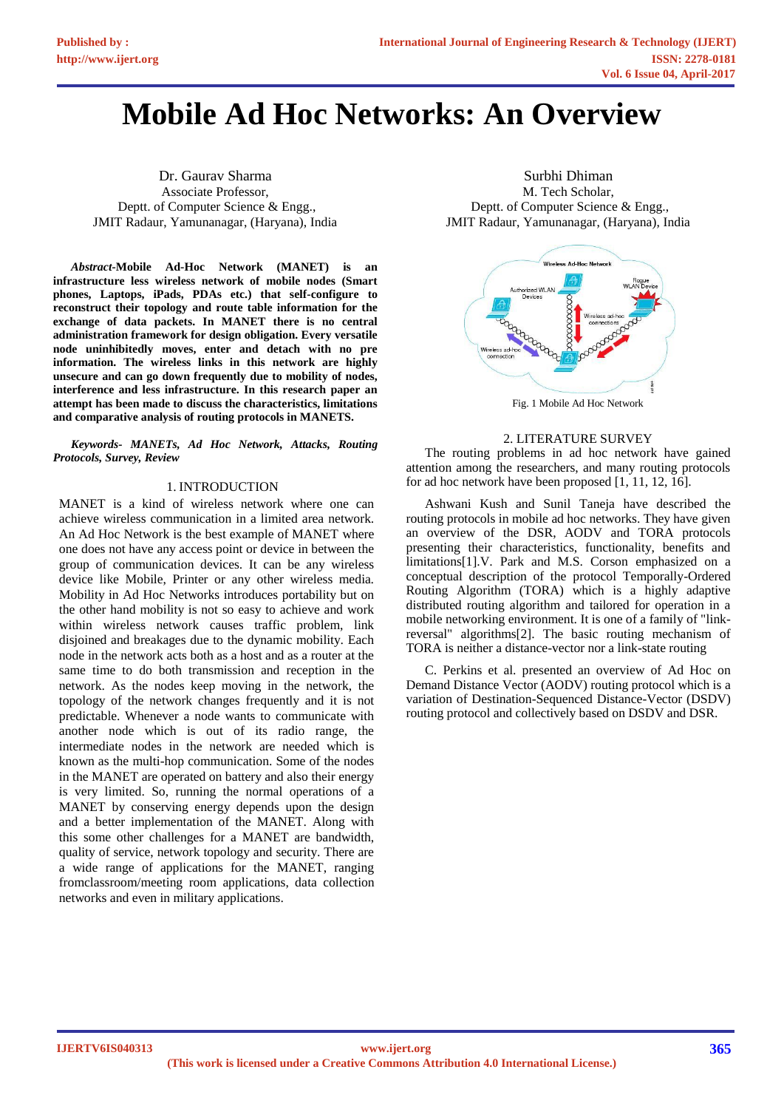# **Mobile Ad Hoc Networks: An Overview**

Dr. Gaurav Sharma Associate Professor, Deptt. of Computer Science & Engg., JMIT Radaur, Yamunanagar, (Haryana), India

*Abstract-***Mobile Ad-Hoc Network (MANET) is an infrastructure less wireless network of mobile nodes (Smart phones, Laptops, iPads, PDAs etc.) that self-configure to reconstruct their topology and route table information for the exchange of data packets. In MANET there is no central administration framework for design obligation. Every versatile node uninhibitedly moves, enter and detach with no pre information. The wireless links in this network are highly unsecure and can go down frequently due to mobility of nodes, interference and less infrastructure. In this research paper an attempt has been made to discuss the characteristics, limitations and comparative analysis of routing protocols in MANETS.**

*Keywords- MANETs, Ad Hoc Network, Attacks, Routing Protocols, Survey, Review*

# 1. INTRODUCTION

MANET is a kind of wireless network where one can achieve wireless communication in a limited area network. An Ad Hoc Network is the best example of MANET where one does not have any access point or device in between the group of communication devices. It can be any wireless device like Mobile, Printer or any other wireless media. Mobility in Ad Hoc Networks introduces portability but on the other hand mobility is not so easy to achieve and work within wireless network causes traffic problem, link disjoined and breakages due to the dynamic mobility. Each node in the network acts both as a host and as a router at the same time to do both transmission and reception in the network. As the nodes keep moving in the network, the topology of the network changes frequently and it is not predictable. Whenever a node wants to communicate with another node which is out of its radio range, the intermediate nodes in the network are needed which is known as the multi-hop communication. Some of the nodes in the MANET are operated on battery and also their energy is very limited. So, running the normal operations of a MANET by conserving energy depends upon the design and a better implementation of the MANET. Along with this some other challenges for a MANET are bandwidth, quality of service, network topology and security. There are a wide range of applications for the MANET, ranging fromclassroom/meeting room applications, data collection networks and even in military applications.

Surbhi Dhiman M. Tech Scholar, Deptt. of Computer Science & Engg., JMIT Radaur, Yamunanagar, (Haryana), India



Fig. 1 Mobile Ad Hoc Network

# 2. LITERATURE SURVEY

The routing problems in ad hoc network have gained attention among the researchers, and many routing protocols for ad hoc network have been proposed [1, 11, 12, 16].

Ashwani Kush and Sunil Taneja have described the routing protocols in mobile ad hoc networks. They have given an overview of the DSR, AODV and TORA protocols presenting their characteristics, functionality, benefits and limitations[1].V. Park and M.S. Corson emphasized on a conceptual description of the protocol Temporally-Ordered Routing Algorithm (TORA) which is a highly adaptive distributed routing algorithm and tailored for operation in a mobile networking environment. It is one of a family of "linkreversal" algorithms[2]. The basic routing mechanism of TORA is neither a distance-vector nor a link-state routing

C. Perkins et al. presented an overview of Ad Hoc on Demand Distance Vector (AODV) routing protocol which is a variation of Destination-Sequenced Distance-Vector (DSDV) routing protocol and collectively based on DSDV and DSR.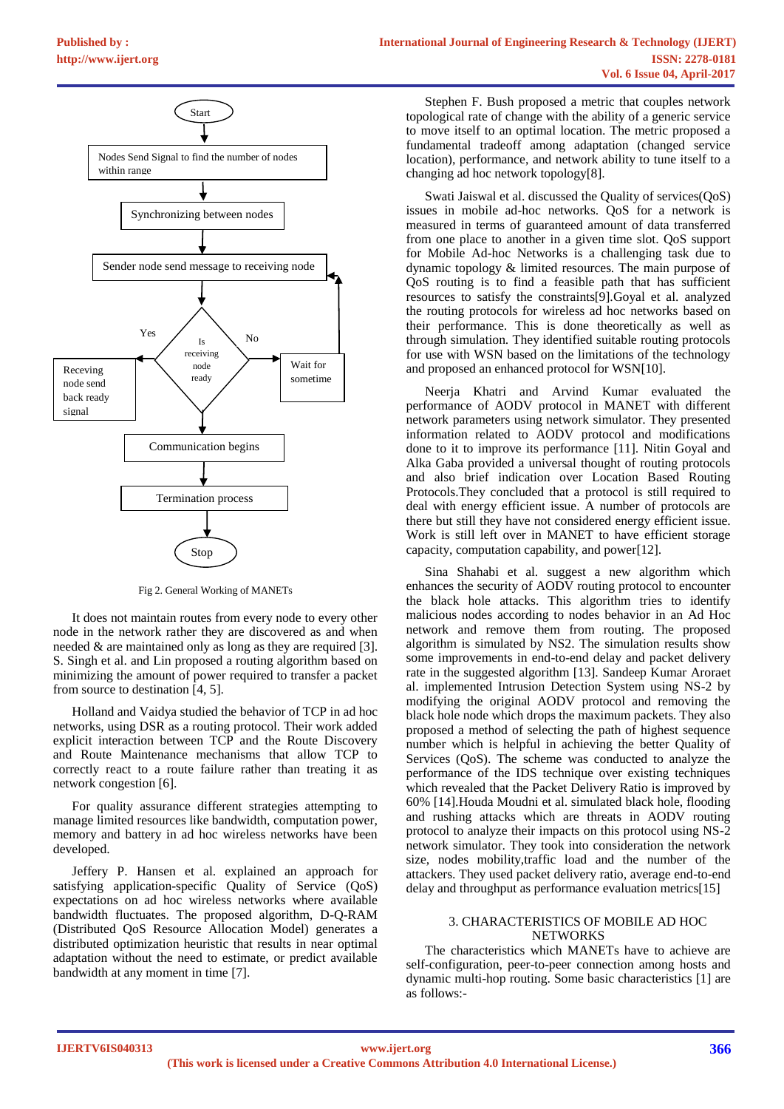

Fig 2. General Working of MANETs

It does not maintain routes from every node to every other node in the network rather they are discovered as and when needed & are maintained only as long as they are required [3]. S. Singh et al. and Lin proposed a routing algorithm based on minimizing the amount of power required to transfer a packet from source to destination [4, 5].

Holland and Vaidya studied the behavior of TCP in ad hoc networks, using DSR as a routing protocol. Their work added explicit interaction between TCP and the Route Discovery and Route Maintenance mechanisms that allow TCP to correctly react to a route failure rather than treating it as network congestion [6].

For quality assurance different strategies attempting to manage limited resources like bandwidth, computation power, memory and battery in ad hoc wireless networks have been developed.

Jeffery P. Hansen et al. explained an approach for satisfying application-specific Quality of Service (QoS) expectations on ad hoc wireless networks where available bandwidth fluctuates. The proposed algorithm, D-Q-RAM (Distributed QoS Resource Allocation Model) generates a distributed optimization heuristic that results in near optimal adaptation without the need to estimate, or predict available bandwidth at any moment in time [7].

Stephen F. Bush proposed a metric that couples network topological rate of change with the ability of a generic service to move itself to an optimal location. The metric proposed a fundamental tradeoff among adaptation (changed service location), performance, and network ability to tune itself to a changing ad hoc network topology[8].

Swati Jaiswal et al. discussed the Quality of services( $\text{Os}$ ) issues in mobile ad-hoc networks. QoS for a network is measured in terms of guaranteed amount of data transferred from one place to another in a given time slot. QoS support for Mobile Ad-hoc Networks is a challenging task due to dynamic topology & limited resources. The main purpose of QoS routing is to find a feasible path that has sufficient resources to satisfy the constraints[9].Goyal et al. analyzed the routing protocols for wireless ad hoc networks based on their performance. This is done theoretically as well as through simulation. They identified suitable routing protocols for use with WSN based on the limitations of the technology and proposed an enhanced protocol for WSN[10].

Neerja Khatri and Arvind Kumar evaluated the performance of AODV protocol in MANET with different network parameters using network simulator. They presented information related to AODV protocol and modifications done to it to improve its performance [11]. Nitin Goyal and Alka Gaba provided a universal thought of routing protocols and also brief indication over Location Based Routing Protocols.They concluded that a protocol is still required to deal with energy efficient issue. A number of protocols are there but still they have not considered energy efficient issue. Work is still left over in MANET to have efficient storage capacity, computation capability, and power[12].

Sina Shahabi et al. suggest a new algorithm which enhances the security of AODV routing protocol to encounter the black hole attacks. This algorithm tries to identify malicious nodes according to nodes behavior in an Ad Hoc network and remove them from routing. The proposed algorithm is simulated by NS2. The simulation results show some improvements in end-to-end delay and packet delivery rate in the suggested algorithm [13]. Sandeep Kumar Aroraet al. implemented Intrusion Detection System using NS-2 by modifying the original AODV protocol and removing the black hole node which drops the maximum packets. They also proposed a method of selecting the path of highest sequence number which is helpful in achieving the better Quality of Services (QoS). The scheme was conducted to analyze the performance of the IDS technique over existing techniques which revealed that the Packet Delivery Ratio is improved by 60% [14].Houda Moudni et al. simulated black hole, flooding and rushing attacks which are threats in AODV routing protocol to analyze their impacts on this protocol using NS-2 network simulator. They took into consideration the network size, nodes mobility,traffic load and the number of the attackers. They used packet delivery ratio, average end-to-end delay and throughput as performance evaluation metrics[15]

## 3. CHARACTERISTICS OF MOBILE AD HOC **NETWORKS**

The characteristics which MANETs have to achieve are self-configuration, peer-to-peer connection among hosts and dynamic multi-hop routing. Some basic characteristics [1] are as follows:-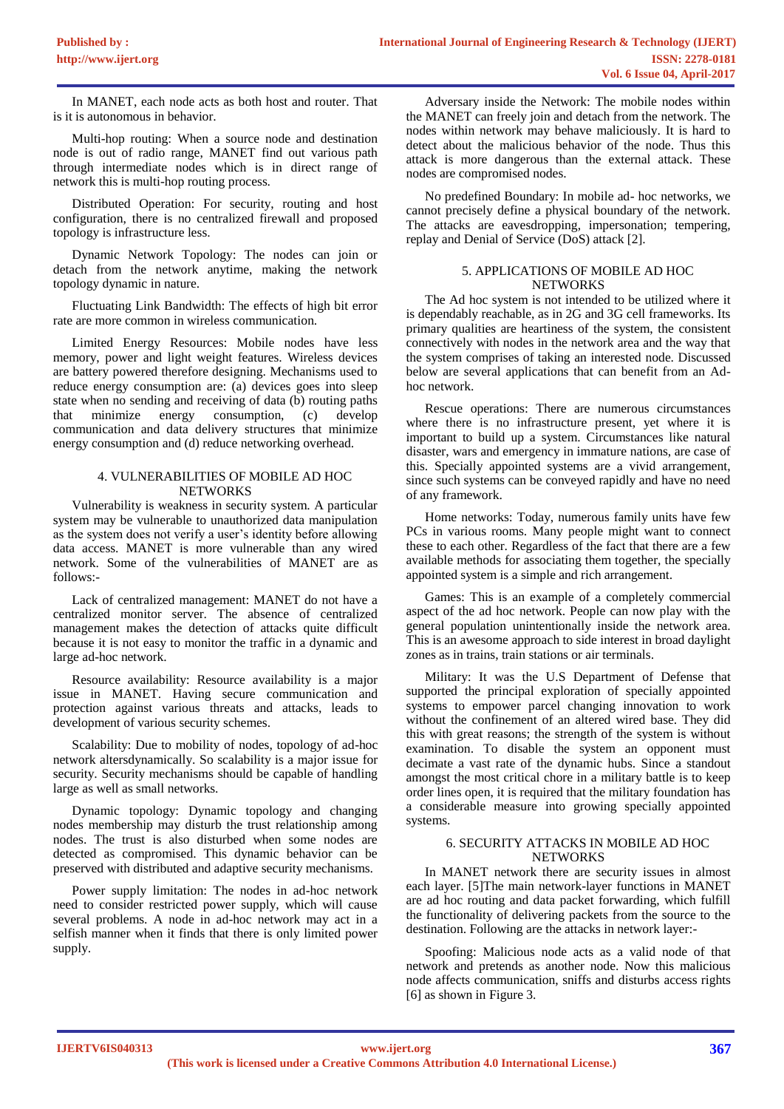In MANET, each node acts as both host and router. That is it is autonomous in behavior.

Multi-hop routing: When a source node and destination node is out of radio range, MANET find out various path through intermediate nodes which is in direct range of network this is multi-hop routing process.

Distributed Operation: For security, routing and host configuration, there is no centralized firewall and proposed topology is infrastructure less.

Dynamic Network Topology: The nodes can join or detach from the network anytime, making the network topology dynamic in nature.

Fluctuating Link Bandwidth: The effects of high bit error rate are more common in wireless communication.

Limited Energy Resources: Mobile nodes have less memory, power and light weight features. Wireless devices are battery powered therefore designing. Mechanisms used to reduce energy consumption are: (a) devices goes into sleep state when no sending and receiving of data (b) routing paths that minimize energy consumption, (c) develop communication and data delivery structures that minimize energy consumption and (d) reduce networking overhead.

#### 4. VULNERABILITIES OF MOBILE AD HOC **NETWORKS**

Vulnerability is weakness in security system. A particular system may be vulnerable to unauthorized data manipulation as the system does not verify a user's identity before allowing data access. MANET is more vulnerable than any wired network. Some of the vulnerabilities of MANET are as follows:-

Lack of centralized management: MANET do not have a centralized monitor server. The absence of centralized management makes the detection of attacks quite difficult because it is not easy to monitor the traffic in a dynamic and large ad-hoc network.

Resource availability: Resource availability is a major issue in MANET. Having secure communication and protection against various threats and attacks, leads to development of various security schemes.

Scalability: Due to mobility of nodes, topology of ad-hoc network altersdynamically. So scalability is a major issue for security. Security mechanisms should be capable of handling large as well as small networks.

Dynamic topology: Dynamic topology and changing nodes membership may disturb the trust relationship among nodes. The trust is also disturbed when some nodes are detected as compromised. This dynamic behavior can be preserved with distributed and adaptive security mechanisms.

Power supply limitation: The nodes in ad-hoc network need to consider restricted power supply, which will cause several problems. A node in ad-hoc network may act in a selfish manner when it finds that there is only limited power supply.

Adversary inside the Network: The mobile nodes within the MANET can freely join and detach from the network. The nodes within network may behave maliciously. It is hard to detect about the malicious behavior of the node. Thus this attack is more dangerous than the external attack. These nodes are compromised nodes.

No predefined Boundary: In mobile ad- hoc networks, we cannot precisely define a physical boundary of the network. The attacks are eavesdropping, impersonation; tempering, replay and Denial of Service (DoS) attack [2].

## 5. APPLICATIONS OF MOBILE AD HOC **NETWORKS**

The Ad hoc system is not intended to be utilized where it is dependably reachable, as in 2G and 3G cell frameworks. Its primary qualities are heartiness of the system, the consistent connectively with nodes in the network area and the way that the system comprises of taking an interested node. Discussed below are several applications that can benefit from an Adhoc network.

Rescue operations: There are numerous circumstances where there is no infrastructure present, yet where it is important to build up a system. Circumstances like natural disaster, wars and emergency in immature nations, are case of this. Specially appointed systems are a vivid arrangement, since such systems can be conveyed rapidly and have no need of any framework.

Home networks: Today, numerous family units have few PCs in various rooms. Many people might want to connect these to each other. Regardless of the fact that there are a few available methods for associating them together, the specially appointed system is a simple and rich arrangement.

Games: This is an example of a completely commercial aspect of the ad hoc network. People can now play with the general population unintentionally inside the network area. This is an awesome approach to side interest in broad daylight zones as in trains, train stations or air terminals.

Military: It was the U.S Department of Defense that supported the principal exploration of specially appointed systems to empower parcel changing innovation to work without the confinement of an altered wired base. They did this with great reasons; the strength of the system is without examination. To disable the system an opponent must decimate a vast rate of the dynamic hubs. Since a standout amongst the most critical chore in a military battle is to keep order lines open, it is required that the military foundation has a considerable measure into growing specially appointed systems.

# 6. SECURITY ATTACKS IN MOBILE AD HOC **NETWORKS**

In MANET network there are security issues in almost each layer. [5]The main network-layer functions in MANET are ad hoc routing and data packet forwarding, which fulfill the functionality of delivering packets from the source to the destination. Following are the attacks in network layer:-

Spoofing: Malicious node acts as a valid node of that network and pretends as another node. Now this malicious node affects communication, sniffs and disturbs access rights [6] as shown in Figure 3.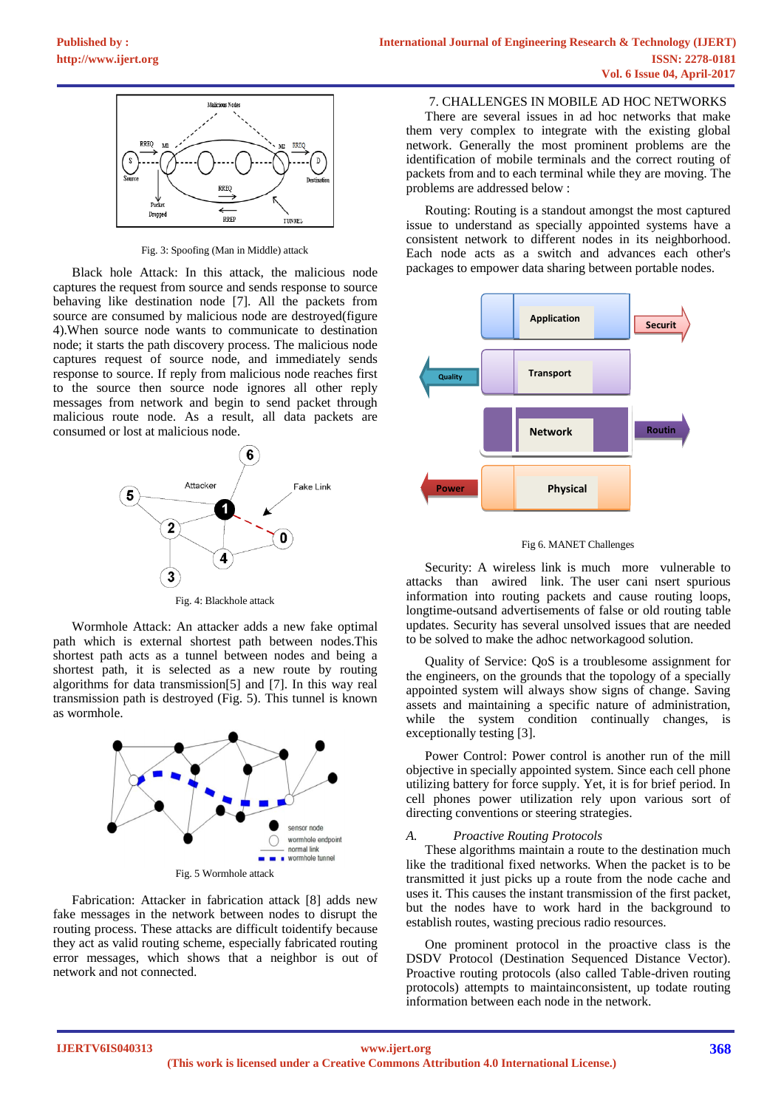

Fig. 3: Spoofing (Man in Middle) attack

Black hole Attack: In this attack, the malicious node captures the request from source and sends response to source behaving like destination node [7]. All the packets from source are consumed by malicious node are destroyed(figure 4).When source node wants to communicate to destination node; it starts the path discovery process. The malicious node captures request of source node, and immediately sends response to source. If reply from malicious node reaches first to the source then source node ignores all other reply messages from network and begin to send packet through malicious route node. As a result, all data packets are consumed or lost at malicious node.



Fig. 4: Blackhole attack

Wormhole Attack: An attacker adds a new fake optimal path which is external shortest path between nodes.This shortest path acts as a tunnel between nodes and being a shortest path, it is selected as a new route by routing algorithms for data transmission[5] and [7]. In this way real transmission path is destroyed (Fig. 5). This tunnel is known as wormhole.



Fabrication: Attacker in fabrication attack [8] adds new fake messages in the network between nodes to disrupt the routing process. These attacks are difficult toidentify because they act as valid routing scheme, especially fabricated routing error messages, which shows that a neighbor is out of network and not connected.

7. CHALLENGES IN MOBILE AD HOC NETWORKS

There are several issues in ad hoc networks that make them very complex to integrate with the existing global network. Generally the most prominent problems are the identification of mobile terminals and the correct routing of packets from and to each terminal while they are moving. The problems are addressed below :

Routing: Routing is a standout amongst the most captured issue to understand as specially appointed systems have a consistent network to different nodes in its neighborhood. Each node acts as a switch and advances each other's packages to empower data sharing between portable nodes.



#### Fig 6. MANET Challenges

Security: A wireless link is much more vulnerable to attacks than awired link. The user cani nsert spurious information into routing packets and cause routing loops, longtime-outsand advertisements of false or old routing table updates. Security has several unsolved issues that are needed to be solved to make the adhoc networkagood solution.

Quality of Service: QoS is a troublesome assignment for the engineers, on the grounds that the topology of a specially appointed system will always show signs of change. Saving assets and maintaining a specific nature of administration, while the system condition continually changes, is exceptionally testing [3].

Power Control: Power control is another run of the mill objective in specially appointed system. Since each cell phone utilizing battery for force supply. Yet, it is for brief period. In cell phones power utilization rely upon various sort of directing conventions or steering strategies.

## *A. Proactive Routing Protocols*

These algorithms maintain a route to the destination much like the traditional fixed networks. When the packet is to be transmitted it just picks up a route from the node cache and uses it. This causes the instant transmission of the first packet, but the nodes have to work hard in the background to establish routes, wasting precious radio resources.

One prominent protocol in the proactive class is the DSDV Protocol (Destination Sequenced Distance Vector). Proactive routing protocols (also called Table-driven routing protocols) attempts to maintainconsistent, up todate routing information between each node in the network.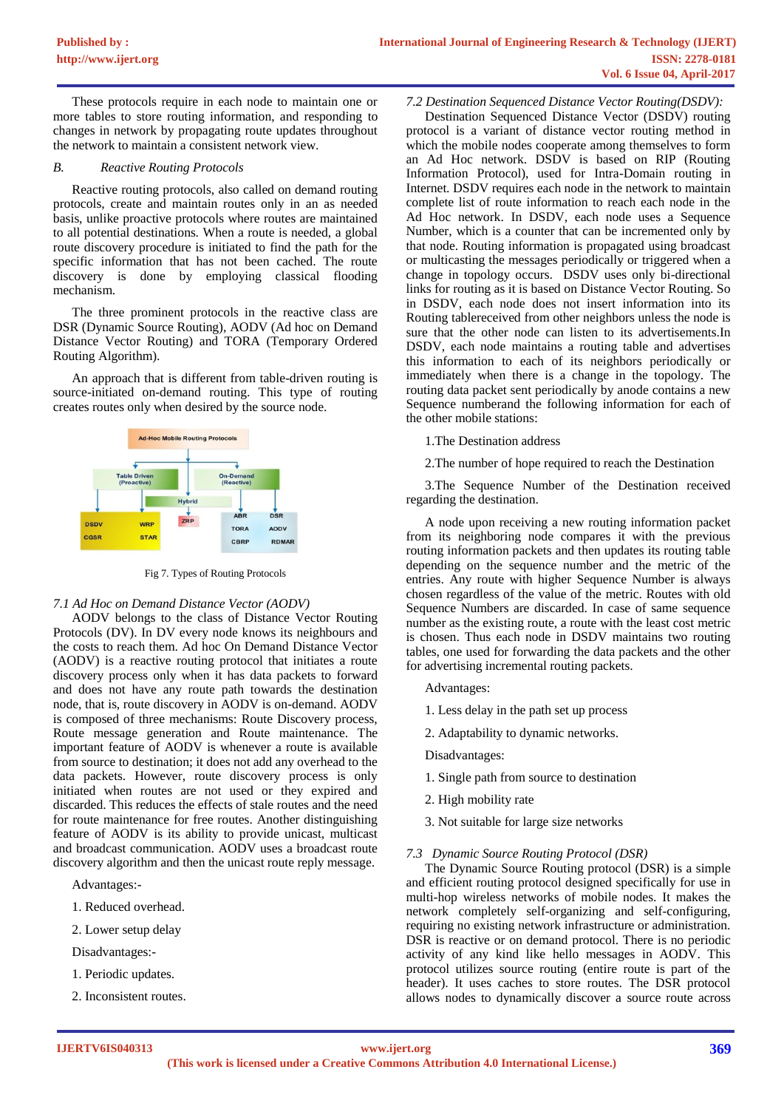These protocols require in each node to maintain one or more tables to store routing information, and responding to changes in network by propagating route updates throughout the network to maintain a consistent network view.

#### *B. Reactive Routing Protocols*

Reactive routing protocols, also called on demand routing protocols, create and maintain routes only in an as needed basis, unlike proactive protocols where routes are maintained to all potential destinations. When a route is needed, a global route discovery procedure is initiated to find the path for the specific information that has not been cached. The route discovery is done by employing classical flooding mechanism.

The three prominent protocols in the reactive class are DSR (Dynamic Source Routing), AODV (Ad hoc on Demand Distance Vector Routing) and TORA (Temporary Ordered Routing Algorithm).

An approach that is different from table-driven routing is source-initiated on-demand routing. This type of routing creates routes only when desired by the source node.



Fig 7. Types of Routing Protocols

## *7.1 Ad Hoc on Demand Distance Vector (AODV)*

AODV belongs to the class of Distance Vector Routing Protocols (DV). In DV every node knows its neighbours and the costs to reach them. Ad hoc On Demand Distance Vector (AODV) is a reactive routing protocol that initiates a route discovery process only when it has data packets to forward and does not have any route path towards the destination node, that is, route discovery in AODV is on-demand. AODV is composed of three mechanisms: Route Discovery process, Route message generation and Route maintenance. The important feature of AODV is whenever a route is available from source to destination; it does not add any overhead to the data packets. However, route discovery process is only initiated when routes are not used or they expired and discarded. This reduces the effects of stale routes and the need for route maintenance for free routes. Another distinguishing feature of AODV is its ability to provide unicast, multicast and broadcast communication. AODV uses a broadcast route discovery algorithm and then the unicast route reply message.

Advantages:-

- 1. Reduced overhead.
- 2. Lower setup delay

Disadvantages:-

- 1. Periodic updates.
- 2. Inconsistent routes.

#### *7.2 Destination Sequenced Distance Vector Routing(DSDV):*

Destination Sequenced Distance Vector (DSDV) routing protocol is a variant of distance vector routing method in which the mobile nodes cooperate among themselves to form an Ad Hoc network. DSDV is based on RIP (Routing Information Protocol), used for Intra-Domain routing in Internet. DSDV requires each node in the network to maintain complete list of route information to reach each node in the Ad Hoc network. In DSDV, each node uses a Sequence Number, which is a counter that can be incremented only by that node. Routing information is propagated using broadcast or multicasting the messages periodically or triggered when a change in topology occurs. DSDV uses only bi-directional links for routing as it is based on Distance Vector Routing. So in DSDV, each node does not insert information into its Routing tablereceived from other neighbors unless the node is sure that the other node can listen to its advertisements.In DSDV, each node maintains a routing table and advertises this information to each of its neighbors periodically or immediately when there is a change in the topology. The routing data packet sent periodically by anode contains a new Sequence numberand the following information for each of the other mobile stations:

# 1.The Destination address

2.The number of hope required to reach the Destination

3.The Sequence Number of the Destination received regarding the destination.

A node upon receiving a new routing information packet from its neighboring node compares it with the previous routing information packets and then updates its routing table depending on the sequence number and the metric of the entries. Any route with higher Sequence Number is always chosen regardless of the value of the metric. Routes with old Sequence Numbers are discarded. In case of same sequence number as the existing route, a route with the least cost metric is chosen. Thus each node in DSDV maintains two routing tables, one used for forwarding the data packets and the other for advertising incremental routing packets.

- Advantages:
- 1. Less delay in the path set up process
- 2. Adaptability to dynamic networks.

Disadvantages:

- 1. Single path from source to destination
- 2. High mobility rate
- 3. Not suitable for large size networks

#### *7.3 Dynamic Source Routing Protocol (DSR)*

The Dynamic Source Routing protocol (DSR) is a simple and efficient routing protocol designed specifically for use in multi-hop wireless networks of mobile nodes. It makes the network completely self-organizing and self-configuring, requiring no existing network infrastructure or administration. DSR is reactive or on demand protocol. There is no periodic activity of any kind like hello messages in AODV. This protocol utilizes source routing (entire route is part of the header). It uses caches to store routes. The DSR protocol allows nodes to dynamically discover a source route across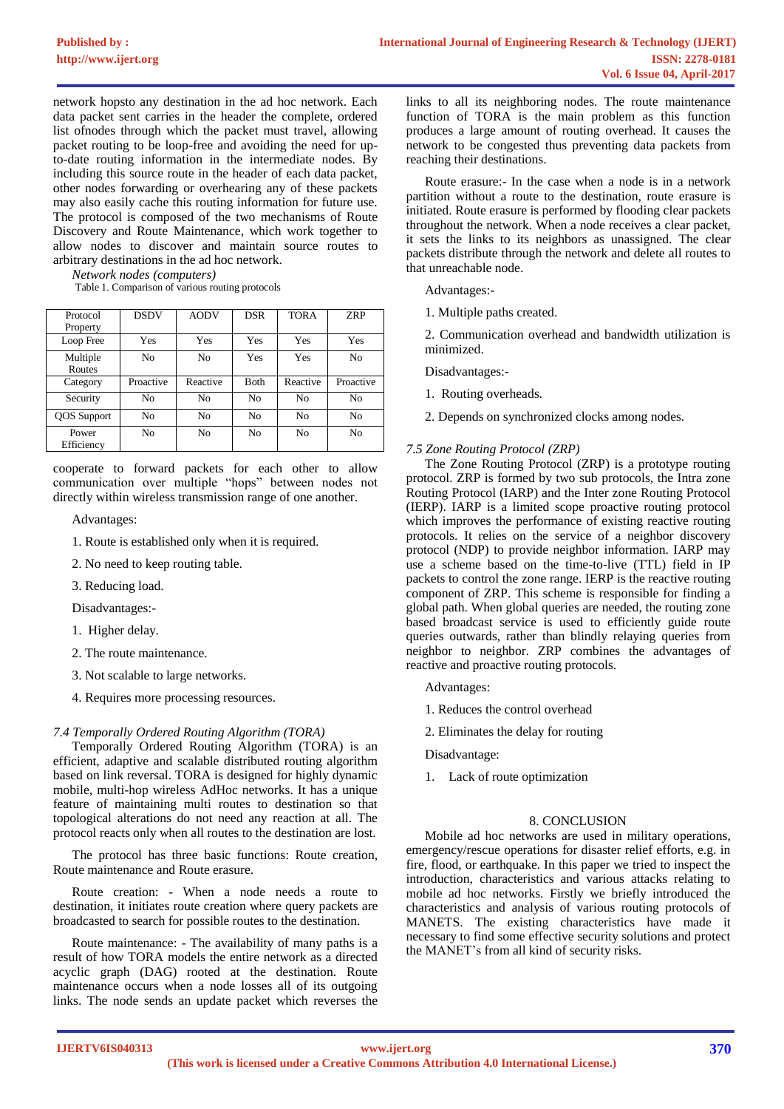network hopsto any destination in the ad hoc network. Each data packet sent carries in the header the complete, ordered list ofnodes through which the packet must travel, allowing packet routing to be loop-free and avoiding the need for upto-date routing information in the intermediate nodes. By including this source route in the header of each data packet, other nodes forwarding or overhearing any of these packets may also easily cache this routing information for future use. The protocol is composed of the two mechanisms of Route Discovery and Route Maintenance, which work together to allow nodes to discover and maintain source routes to arbitrary destinations in the ad hoc network.

*Network nodes (computers)*

Table 1. Comparison of various routing protocols

| Protocol            | <b>DSDV</b> | <b>AODV</b>    | <b>DSR</b> | <b>TORA</b>    | <b>ZRP</b> |
|---------------------|-------------|----------------|------------|----------------|------------|
| Property            |             |                |            |                |            |
| Loop Free           | Yes         | Yes            | Yes        | Yes            | Yes        |
| Multiple            | No          | No             | Yes        | Yes            | No         |
| Routes              |             |                |            |                |            |
| Category            | Proactive   | Reactive       | Both       | Reactive       | Proactive  |
| Security            | No          | No             | No         | N <sub>0</sub> | No         |
| <b>QOS</b> Support  | No          | N <sub>0</sub> | No         | No             | No         |
| Power<br>Efficiency | No          | N <sub>0</sub> | No         | N <sub>0</sub> | No         |

cooperate to forward packets for each other to allow communication over multiple "hops" between nodes not directly within wireless transmission range of one another.

Advantages:

- 1. Route is established only when it is required.
- 2. No need to keep routing table.
- 3. Reducing load.

Disadvantages:-

- 1. Higher delay.
- 2. The route maintenance.
- 3. Not scalable to large networks.
- 4. Requires more processing resources.

## *7.4 Temporally Ordered Routing Algorithm (TORA)*

Temporally Ordered Routing Algorithm (TORA) is an efficient, adaptive and scalable distributed routing algorithm based on link reversal. TORA is designed for highly dynamic mobile, multi-hop wireless AdHoc networks. It has a unique feature of maintaining multi routes to destination so that topological alterations do not need any reaction at all. The protocol reacts only when all routes to the destination are lost.

The protocol has three basic functions: Route creation, Route maintenance and Route erasure.

Route creation: - When a node needs a route to destination, it initiates route creation where query packets are broadcasted to search for possible routes to the destination.

Route maintenance: - The availability of many paths is a result of how TORA models the entire network as a directed acyclic graph (DAG) rooted at the destination. Route maintenance occurs when a node losses all of its outgoing links. The node sends an update packet which reverses the links to all its neighboring nodes. The route maintenance function of TORA is the main problem as this function produces a large amount of routing overhead. It causes the network to be congested thus preventing data packets from reaching their destinations.

Route erasure:- In the case when a node is in a network partition without a route to the destination, route erasure is initiated. Route erasure is performed by flooding clear packets throughout the network. When a node receives a clear packet, it sets the links to its neighbors as unassigned. The clear packets distribute through the network and delete all routes to that unreachable node.

Advantages:-

1. Multiple paths created.

2. Communication overhead and bandwidth utilization is minimized.

Disadvantages:-

- 1. Routing overheads.
- 2. Depends on synchronized clocks among nodes.

#### *7.5 Zone Routing Protocol (ZRP)*

The Zone Routing Protocol (ZRP) is a prototype routing protocol. ZRP is formed by two sub protocols, the Intra zone Routing Protocol (IARP) and the Inter zone Routing Protocol (IERP). IARP is a limited scope proactive routing protocol which improves the performance of existing reactive routing protocols. It relies on the service of a neighbor discovery protocol (NDP) to provide neighbor information. IARP may use a scheme based on the time-to-live (TTL) field in IP packets to control the zone range. IERP is the reactive routing component of ZRP. This scheme is responsible for finding a global path. When global queries are needed, the routing zone based broadcast service is used to efficiently guide route queries outwards, rather than blindly relaying queries from neighbor to neighbor. ZRP combines the advantages of reactive and proactive routing protocols.

- Advantages:
- 1. Reduces the control overhead
- 2. Eliminates the delay for routing
- Disadvantage:
- 1. Lack of route optimization

#### 8. CONCLUSION

Mobile ad hoc networks are used in military operations, emergency/rescue operations for disaster relief efforts, e.g. in fire, flood, or earthquake. In this paper we tried to inspect the introduction, characteristics and various attacks relating to mobile ad hoc networks. Firstly we briefly introduced the characteristics and analysis of various routing protocols of MANETS. The existing characteristics have made it necessary to find some effective security solutions and protect the MANET's from all kind of security risks.